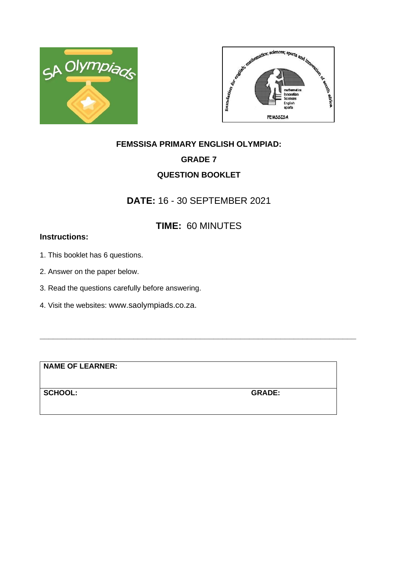



# **FEMSSISA PRIMARY ENGLISH OLYMPIAD: GRADE 7 QUESTION BOOKLET**

## **DATE:** 16 - 30 SEPTEMBER 2021

# **TIME:** 60 MINUTES

**\_\_\_\_\_\_\_\_\_\_\_\_\_\_\_\_\_\_\_\_\_\_\_\_\_\_\_\_\_\_\_\_\_\_\_\_\_\_\_\_\_\_\_\_\_\_\_\_\_\_\_\_\_\_\_\_\_\_\_\_\_\_\_\_\_\_\_\_\_\_\_**

### **Instructions:**

- 1. This booklet has 6 questions.
- 2. Answer on the paper below.
- 3. Read the questions carefully before answering.
- 4. Visit the websites: www.saolympiads.co.za.

**NAME OF LEARNER:**

**SCHOOL: GRADE:**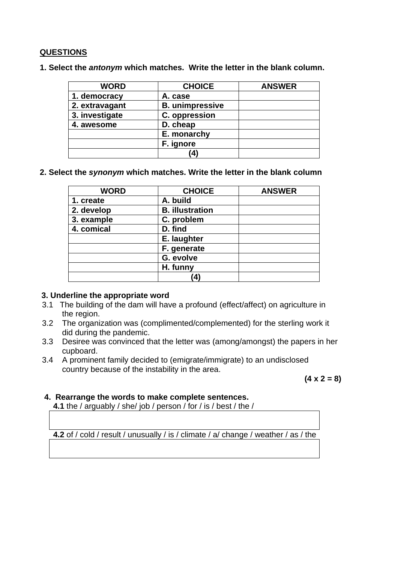### **QUESTIONS**

**1. Select the** *antonym* **which matches. Write the letter in the blank column.** 

| <b>WORD</b>    | <b>CHOICE</b>          | <b>ANSWER</b> |
|----------------|------------------------|---------------|
| 1. democracy   | A. case                |               |
| 2. extravagant | <b>B.</b> unimpressive |               |
| 3. investigate | C. oppression          |               |
| 4. awesome     | D. cheap               |               |
|                | E. monarchy            |               |
|                | F. ignore              |               |
|                | (4                     |               |

**2. Select the** *synonym* **which matches. Write the letter in the blank column** 

| <b>WORD</b> | <b>CHOICE</b>          | <b>ANSWER</b> |
|-------------|------------------------|---------------|
| 1. create   | A. build               |               |
| 2. develop  | <b>B.</b> illustration |               |
| 3. example  | C. problem             |               |
| 4. comical  | D. find                |               |
|             | E. laughter            |               |
|             | F. generate            |               |
|             | G. evolve              |               |
|             | H. funny               |               |
|             | 4                      |               |

#### **3. Underline the appropriate word**

- 3.1 The building of the dam will have a profound (effect/affect) on agriculture in the region.
- 3.2 The organization was (complimented/complemented) for the sterling work it did during the pandemic.
- 3.3 Desiree was convinced that the letter was (among/amongst) the papers in her cupboard.
- 3.4 A prominent family decided to (emigrate/immigrate) to an undisclosed country because of the instability in the area.

**(4 x 2 = 8)**

#### **4. Rearrange the words to make complete sentences.**

 **4.1** the / arguably / she/ job / person / for / is / best / the /

 **4.2** of / cold / result / unusually / is / climate / a/ change / weather / as / the